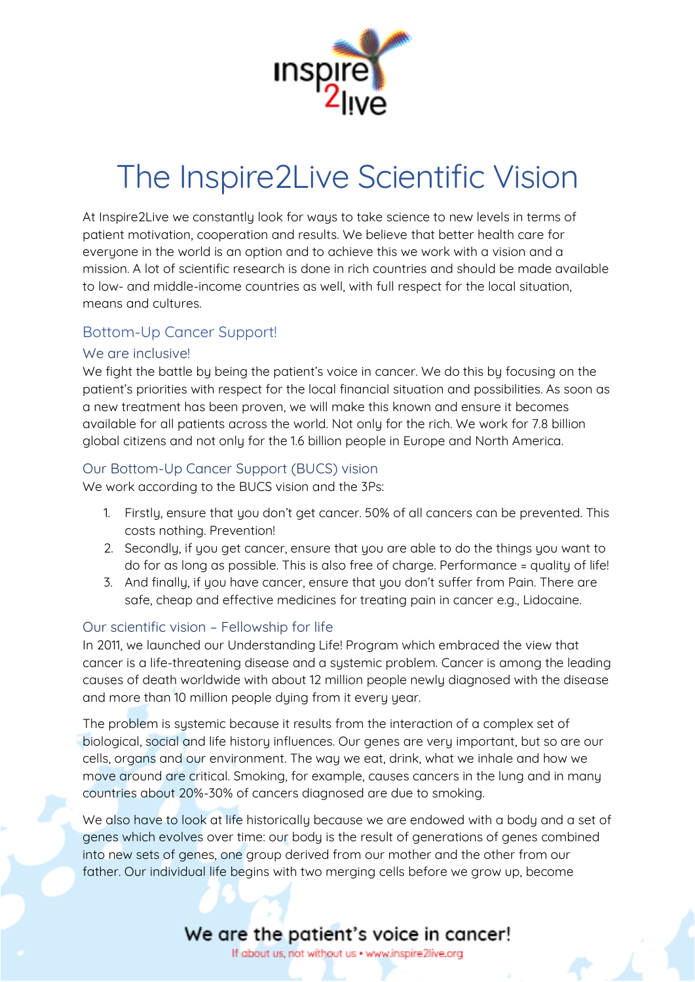

# The Inspire2Live Scientific Vision

At Inspire2Live we constantly look for ways to take science to new levels in terms of patient motivation, cooperation and results. We believe that better health care for everyone in the world is an option and to achieve this we work with a vision and a mission. A lot of scientific research is done in rich countries and should be made available to low- and middle-income countries as well, with full respect for the local situation, means and cultures.

#### Bottom-Up Cancer Support!

#### We are inclusive!

We fight the battle by being the patient's voice in cancer. We do this by focusing on the patient's priorities with respect for the local financial situation and possibilities. As soon as a new treatment has been proven, we will make this known and ensure it becomes available for all patients across the world. Not only for the rich. We work for 7.8 billion global citizens and not only for the 1.6 billion people in Europe and North America.

#### Our Bottom-Up Cancer Support (BUCS) vision

We work according to the BUCS vision and the 3Ps:

- 1. Firstly, ensure that you don't get cancer. 50% of all cancers can be prevented. This costs nothing. Prevention!
- 2. Secondly, if you get cancer, ensure that you are able to do the things you want to do for as long as possible. This is also free of charge. Performance = quality of life!
- 3. And finally, if you have cancer, ensure that you don't suffer from Pain. There are safe, cheap and effective medicines for treating pain in cancer e.g., Lidocaine.

#### Our scientific vision – Fellowship for life

In 2011, we launched our Understanding Life! Program which embraced the view that cancer is a life-threatening disease and a systemic problem. Cancer is among the leading causes of death worldwide with about 12 million people newly diagnosed with the disease and more than 10 million people dying from it every year.

The problem is systemic because it results from the interaction of a complex set of biological, social and life history influences. Our genes are very important, but so are our cells, organs and our environment. The way we eat, drink, what we inhale and how we move around are critical. Smoking, for example, causes cancers in the lung and in many countries about 20%-30% of cancers diagnosed are due to smoking.

We also have to look at life historically because we are endowed with a body and a set of genes which evolves over time: our body is the result of generations of genes combined into new sets of genes, one group derived from our mother and the other from our father. Our individual life begins with two merging cells before we grow up, become

### We are the patient's voice in cancer!

If about us, not without us . www.inspire2live.org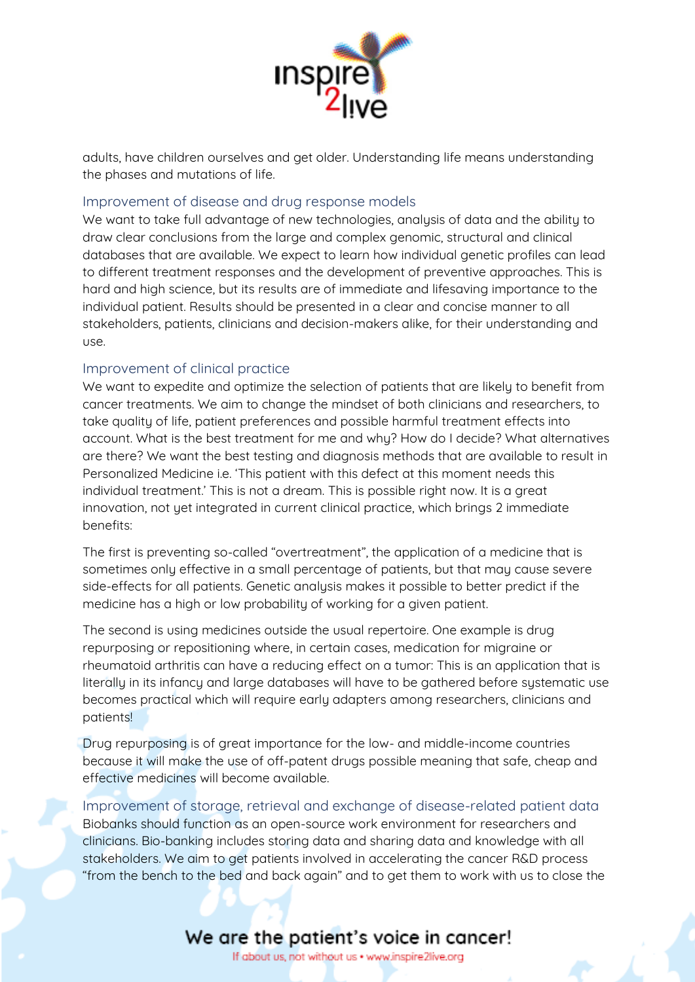

adults, have children ourselves and get older. Understanding life means understanding the phases and mutations of life.

#### Improvement of disease and drug response models

We want to take full advantage of new technologies, analysis of data and the ability to draw clear conclusions from the large and complex genomic, structural and clinical databases that are available. We expect to learn how individual genetic profiles can lead to different treatment responses and the development of preventive approaches. This is hard and high science, but its results are of immediate and lifesaving importance to the individual patient. Results should be presented in a clear and concise manner to all stakeholders, patients, clinicians and decision-makers alike, for their understanding and use.

#### Improvement of clinical practice

We want to expedite and optimize the selection of patients that are likely to benefit from cancer treatments. We aim to change the mindset of both clinicians and researchers, to take quality of life, patient preferences and possible harmful treatment effects into account. What is the best treatment for me and why? How do I decide? What alternatives are there? We want the best testing and diagnosis methods that are available to result in Personalized Medicine i.e. 'This patient with this defect at this moment needs this individual treatment.' This is not a dream. This is possible right now. It is a great innovation, not yet integrated in current clinical practice, which brings 2 immediate benefits:

The first is preventing so-called "overtreatment", the application of a medicine that is sometimes only effective in a small percentage of patients, but that may cause severe side-effects for all patients. Genetic analysis makes it possible to better predict if the medicine has a high or low probability of working for a given patient.

The second is using medicines outside the usual repertoire. One example is drug repurposing or repositioning where, in certain cases, medication for migraine or rheumatoid arthritis can have a reducing effect on a tumor: This is an application that is literally in its infancy and large databases will have to be gathered before systematic use becomes practical which will require early adapters among researchers, clinicians and patients!

Drug repurposing is of great importance for the low- and middle-income countries because it will make the use of off-patent drugs possible meaning that safe, cheap and effective medicines will become available.

Improvement of storage, retrieval and exchange of disease-related patient data Biobanks should function as an open-source work environment for researchers and clinicians. Bio-banking includes storing data and sharing data and knowledge with all stakeholders. We aim to get patients involved in accelerating the cancer R&D process "from the bench to the bed and back again" and to get them to work with us to close the

## We are the patient's voice in cancer!

If about us, not without us . www.inspire2live.org